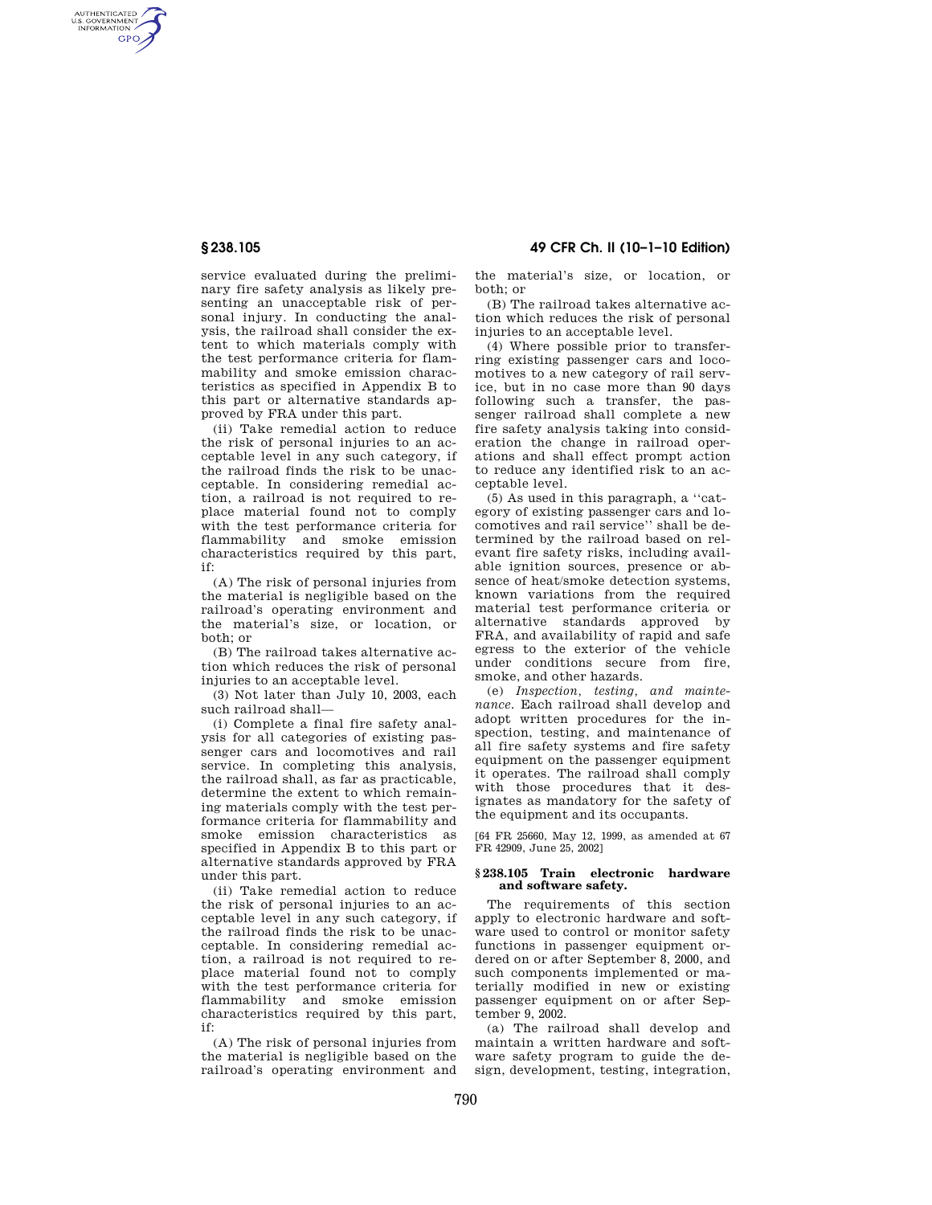AUTHENTICATED<br>U.S. GOVERNMENT<br>INFORMATION GPO

> service evaluated during the preliminary fire safety analysis as likely presenting an unacceptable risk of personal injury. In conducting the analysis, the railroad shall consider the extent to which materials comply with the test performance criteria for flammability and smoke emission characteristics as specified in Appendix B to this part or alternative standards approved by FRA under this part.

> (ii) Take remedial action to reduce the risk of personal injuries to an acceptable level in any such category, if the railroad finds the risk to be unacceptable. In considering remedial action, a railroad is not required to replace material found not to comply with the test performance criteria for flammability and smoke emission characteristics required by this part, if:

> (A) The risk of personal injuries from the material is negligible based on the railroad's operating environment and the material's size, or location, or both; or

> (B) The railroad takes alternative action which reduces the risk of personal injuries to an acceptable level.

> (3) Not later than July 10, 2003, each such railroad shall—

> (i) Complete a final fire safety analysis for all categories of existing passenger cars and locomotives and rail service. In completing this analysis, the railroad shall, as far as practicable, determine the extent to which remaining materials comply with the test performance criteria for flammability and smoke emission characteristics as specified in Appendix B to this part or alternative standards approved by FRA under this part.

> (ii) Take remedial action to reduce the risk of personal injuries to an acceptable level in any such category, if the railroad finds the risk to be unacceptable. In considering remedial action, a railroad is not required to replace material found not to comply with the test performance criteria for flammability and smoke emission characteristics required by this part, if:

(A) The risk of personal injuries from the material is negligible based on the railroad's operating environment and the material's size, or location, or both; or

(B) The railroad takes alternative action which reduces the risk of personal injuries to an acceptable level.

(4) Where possible prior to transferring existing passenger cars and locomotives to a new category of rail service, but in no case more than 90 days following such a transfer, the passenger railroad shall complete a new fire safety analysis taking into consideration the change in railroad operations and shall effect prompt action to reduce any identified risk to an acceptable level.

(5) As used in this paragraph, a ''category of existing passenger cars and locomotives and rail service'' shall be determined by the railroad based on relevant fire safety risks, including available ignition sources, presence or absence of heat/smoke detection systems, known variations from the required material test performance criteria or alternative standards approved by FRA, and availability of rapid and safe egress to the exterior of the vehicle under conditions secure from fire, smoke, and other hazards.

(e) *Inspection, testing, and maintenance.* Each railroad shall develop and adopt written procedures for the inspection, testing, and maintenance of all fire safety systems and fire safety equipment on the passenger equipment it operates. The railroad shall comply with those procedures that it designates as mandatory for the safety of the equipment and its occupants.

[64 FR 25660, May 12, 1999, as amended at 67 FR 42909, June 25, 2002]

## **§ 238.105 Train electronic hardware and software safety.**

The requirements of this section apply to electronic hardware and software used to control or monitor safety functions in passenger equipment ordered on or after September 8, 2000, and such components implemented or materially modified in new or existing passenger equipment on or after September 9, 2002.

(a) The railroad shall develop and maintain a written hardware and software safety program to guide the design, development, testing, integration,